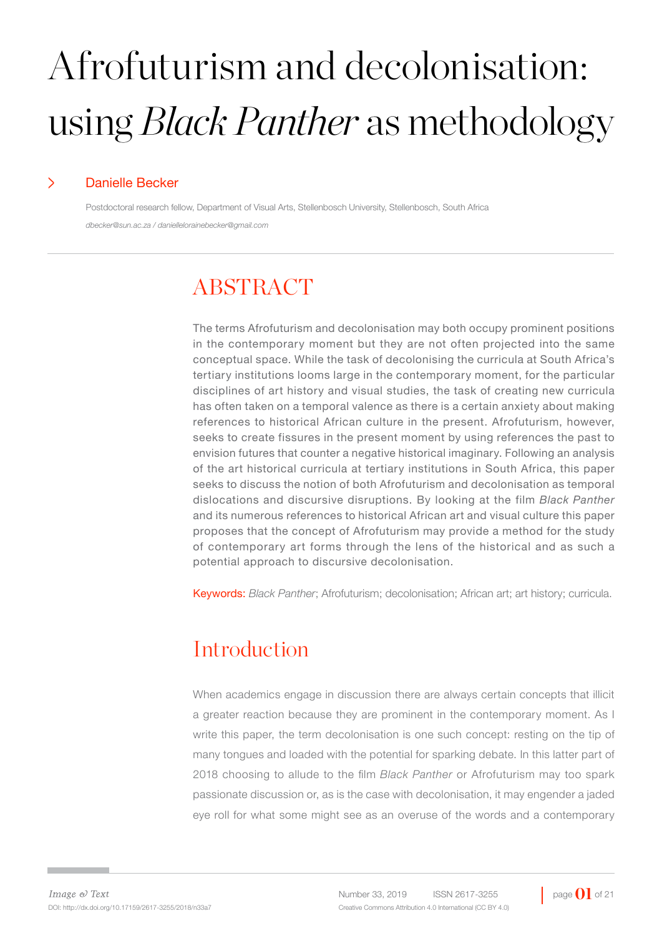# Afrofuturism and decolonisation: using *Black Panther* as methodology

#### > Danielle Becker

Postdoctoral research fellow, Department of Visual Arts, Stellenbosch University, Stellenbosch, South Africa *dbecker@sun.ac.za / daniellelorainebecker@gmail.com*

## ABSTRACT

The terms Afrofuturism and decolonisation may both occupy prominent positions in the contemporary moment but they are not often projected into the same conceptual space. While the task of decolonising the curricula at South Africa's tertiary institutions looms large in the contemporary moment, for the particular disciplines of art history and visual studies, the task of creating new curricula has often taken on a temporal valence as there is a certain anxiety about making references to historical African culture in the present. Afrofuturism, however, seeks to create fissures in the present moment by using references the past to envision futures that counter a negative historical imaginary. Following an analysis of the art historical curricula at tertiary institutions in South Africa, this paper seeks to discuss the notion of both Afrofuturism and decolonisation as temporal dislocations and discursive disruptions. By looking at the film *Black Panther*  and its numerous references to historical African art and visual culture this paper proposes that the concept of Afrofuturism may provide a method for the study of contemporary art forms through the lens of the historical and as such a potential approach to discursive decolonisation.

Keywords: *Black Panther*; Afrofuturism; decolonisation; African art; art history; curricula.

## Introduction

When academics engage in discussion there are always certain concepts that illicit a greater reaction because they are prominent in the contemporary moment. As I write this paper, the term decolonisation is one such concept: resting on the tip of many tongues and loaded with the potential for sparking debate. In this latter part of 2018 choosing to allude to the film *Black Panther* or Afrofuturism may too spark passionate discussion or, as is the case with decolonisation, it may engender a jaded eye roll for what some might see as an overuse of the words and a contemporary

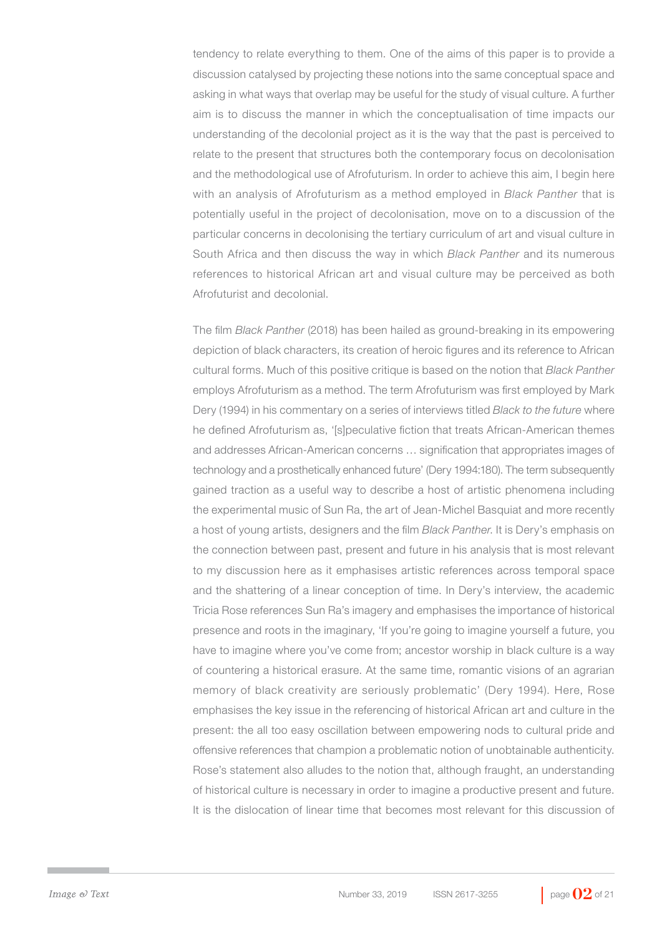tendency to relate everything to them. One of the aims of this paper is to provide a discussion catalysed by projecting these notions into the same conceptual space and asking in what ways that overlap may be useful for the study of visual culture. A further aim is to discuss the manner in which the conceptualisation of time impacts our understanding of the decolonial project as it is the way that the past is perceived to relate to the present that structures both the contemporary focus on decolonisation and the methodological use of Afrofuturism. In order to achieve this aim, I begin here with an analysis of Afrofuturism as a method employed in *Black Panther* that is potentially useful in the project of decolonisation, move on to a discussion of the particular concerns in decolonising the tertiary curriculum of art and visual culture in South Africa and then discuss the way in which *Black Panther* and its numerous references to historical African art and visual culture may be perceived as both Afrofuturist and decolonial.

The film *Black Panther* (2018) has been hailed as ground-breaking in its empowering depiction of black characters, its creation of heroic figures and its reference to African cultural forms. Much of this positive critique is based on the notion that *Black Panther*  employs Afrofuturism as a method. The term Afrofuturism was first employed by Mark Dery (1994) in his commentary on a series of interviews titled *Black to the future* where he defined Afrofuturism as, '[s]peculative fiction that treats African-American themes and addresses African-American concerns … signification that appropriates images of technology and a prosthetically enhanced future' (Dery 1994:180). The term subsequently gained traction as a useful way to describe a host of artistic phenomena including the experimental music of Sun Ra, the art of Jean-Michel Basquiat and more recently a host of young artists, designers and the film *Black Panther*. It is Dery's emphasis on the connection between past, present and future in his analysis that is most relevant to my discussion here as it emphasises artistic references across temporal space and the shattering of a linear conception of time. In Dery's interview, the academic Tricia Rose references Sun Ra's imagery and emphasises the importance of historical presence and roots in the imaginary, 'If you're going to imagine yourself a future, you have to imagine where you've come from; ancestor worship in black culture is a way of countering a historical erasure. At the same time, romantic visions of an agrarian memory of black creativity are seriously problematic' (Dery 1994). Here, Rose emphasises the key issue in the referencing of historical African art and culture in the present: the all too easy oscillation between empowering nods to cultural pride and offensive references that champion a problematic notion of unobtainable authenticity. Rose's statement also alludes to the notion that, although fraught, an understanding of historical culture is necessary in order to imagine a productive present and future. It is the dislocation of linear time that becomes most relevant for this discussion of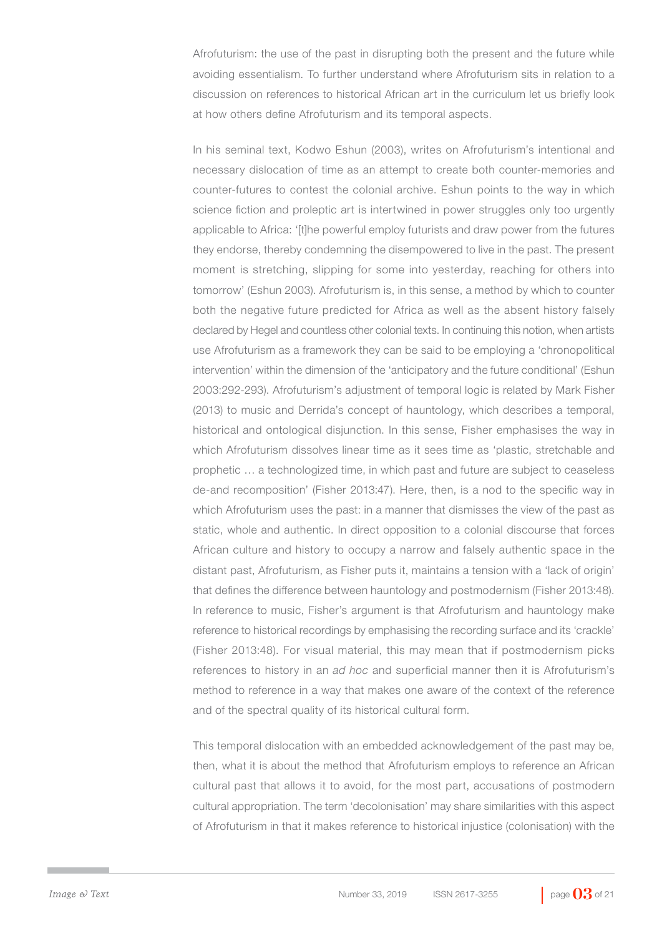Afrofuturism: the use of the past in disrupting both the present and the future while avoiding essentialism. To further understand where Afrofuturism sits in relation to a discussion on references to historical African art in the curriculum let us briefly look at how others define Afrofuturism and its temporal aspects.

In his seminal text, Kodwo Eshun (2003), writes on Afrofuturism's intentional and necessary dislocation of time as an attempt to create both counter-memories and counter-futures to contest the colonial archive. Eshun points to the way in which science fiction and proleptic art is intertwined in power struggles only too urgently applicable to Africa: '[t]he powerful employ futurists and draw power from the futures they endorse, thereby condemning the disempowered to live in the past. The present moment is stretching, slipping for some into yesterday, reaching for others into tomorrow' (Eshun 2003). Afrofuturism is, in this sense, a method by which to counter both the negative future predicted for Africa as well as the absent history falsely declared by Hegel and countless other colonial texts. In continuing this notion, when artists use Afrofuturism as a framework they can be said to be employing a 'chronopolitical intervention' within the dimension of the 'anticipatory and the future conditional' (Eshun 2003:292-293). Afrofuturism's adjustment of temporal logic is related by Mark Fisher (2013) to music and Derrida's concept of hauntology, which describes a temporal, historical and ontological disjunction. In this sense, Fisher emphasises the way in which Afrofuturism dissolves linear time as it sees time as 'plastic, stretchable and prophetic … a technologized time, in which past and future are subject to ceaseless de-and recomposition' (Fisher 2013:47). Here, then, is a nod to the specific way in which Afrofuturism uses the past: in a manner that dismisses the view of the past as static, whole and authentic. In direct opposition to a colonial discourse that forces African culture and history to occupy a narrow and falsely authentic space in the distant past, Afrofuturism, as Fisher puts it, maintains a tension with a 'lack of origin' that defines the difference between hauntology and postmodernism (Fisher 2013:48). In reference to music, Fisher's argument is that Afrofuturism and hauntology make reference to historical recordings by emphasising the recording surface and its 'crackle' (Fisher 2013:48). For visual material, this may mean that if postmodernism picks references to history in an *ad hoc* and superficial manner then it is Afrofuturism's method to reference in a way that makes one aware of the context of the reference and of the spectral quality of its historical cultural form.

This temporal dislocation with an embedded acknowledgement of the past may be, then, what it is about the method that Afrofuturism employs to reference an African cultural past that allows it to avoid, for the most part, accusations of postmodern cultural appropriation. The term 'decolonisation' may share similarities with this aspect of Afrofuturism in that it makes reference to historical injustice (colonisation) with the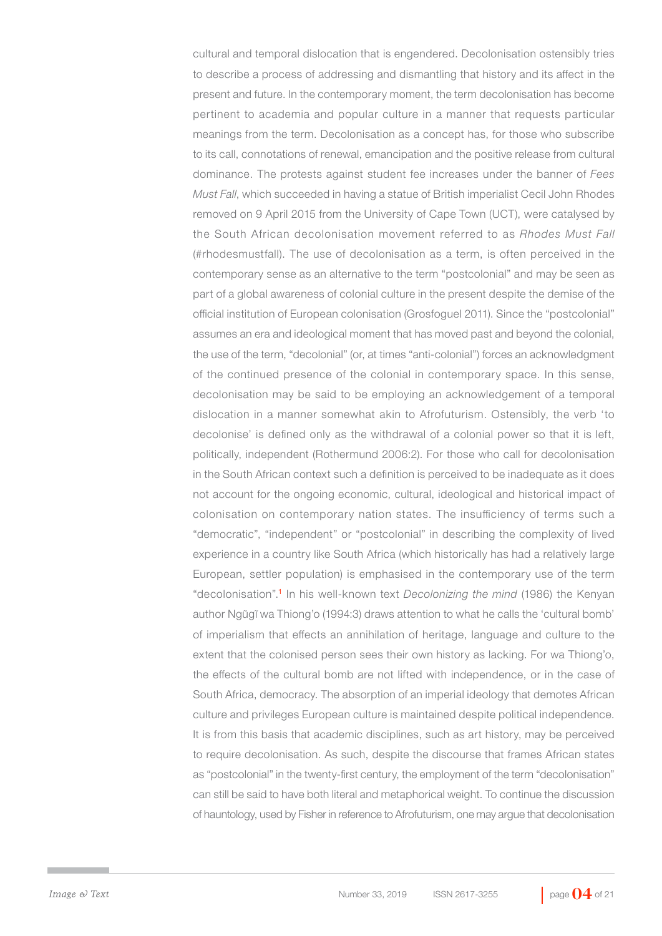cultural and temporal dislocation that is engendered. Decolonisation ostensibly tries to describe a process of addressing and dismantling that history and its affect in the present and future. In the contemporary moment, the term decolonisation has become pertinent to academia and popular culture in a manner that requests particular meanings from the term. Decolonisation as a concept has, for those who subscribe to its call, connotations of renewal, emancipation and the positive release from cultural dominance. The protests against student fee increases under the banner of *Fees Must Fall*, which succeeded in having a statue of British imperialist Cecil John Rhodes removed on 9 April 2015 from the University of Cape Town (UCT), were catalysed by the South African decolonisation movement referred to as *Rhodes Must Fall*  (#rhodesmustfall). The use of decolonisation as a term, is often perceived in the contemporary sense as an alternative to the term "postcolonial" and may be seen as part of a global awareness of colonial culture in the present despite the demise of the official institution of European colonisation (Grosfoguel 2011). Since the "postcolonial" assumes an era and ideological moment that has moved past and beyond the colonial, the use of the term, "decolonial" (or, at times "anti-colonial") forces an acknowledgment of the continued presence of the colonial in contemporary space. In this sense, decolonisation may be said to be employing an acknowledgement of a temporal dislocation in a manner somewhat akin to Afrofuturism. Ostensibly, the verb 'to decolonise' is defined only as the withdrawal of a colonial power so that it is left, politically, independent (Rothermund 2006:2). For those who call for decolonisation in the South African context such a definition is perceived to be inadequate as it does not account for the ongoing economic, cultural, ideological and historical impact of colonisation on contemporary nation states. The insufficiency of terms such a "democratic", "independent" or "postcolonial" in describing the complexity of lived experience in a country like South Africa (which historically has had a relatively large European, settler population) is emphasised in the contemporary use of the term "decolonisation".<sup>1</sup> In his well-known text *Decolonizing the mind* (1986) the Kenyan author Ngũgĩ wa Thiong'o (1994:3) draws attention to what he calls the 'cultural bomb' of imperialism that effects an annihilation of heritage, language and culture to the extent that the colonised person sees their own history as lacking. For wa Thiong'o, the effects of the cultural bomb are not lifted with independence, or in the case of South Africa, democracy. The absorption of an imperial ideology that demotes African culture and privileges European culture is maintained despite political independence. It is from this basis that academic disciplines, such as art history, may be perceived to require decolonisation. As such, despite the discourse that frames African states as "postcolonial" in the twenty-first century, the employment of the term "decolonisation" can still be said to have both literal and metaphorical weight. To continue the discussion of hauntology, used by Fisher in reference to Afrofuturism, one may argue that decolonisation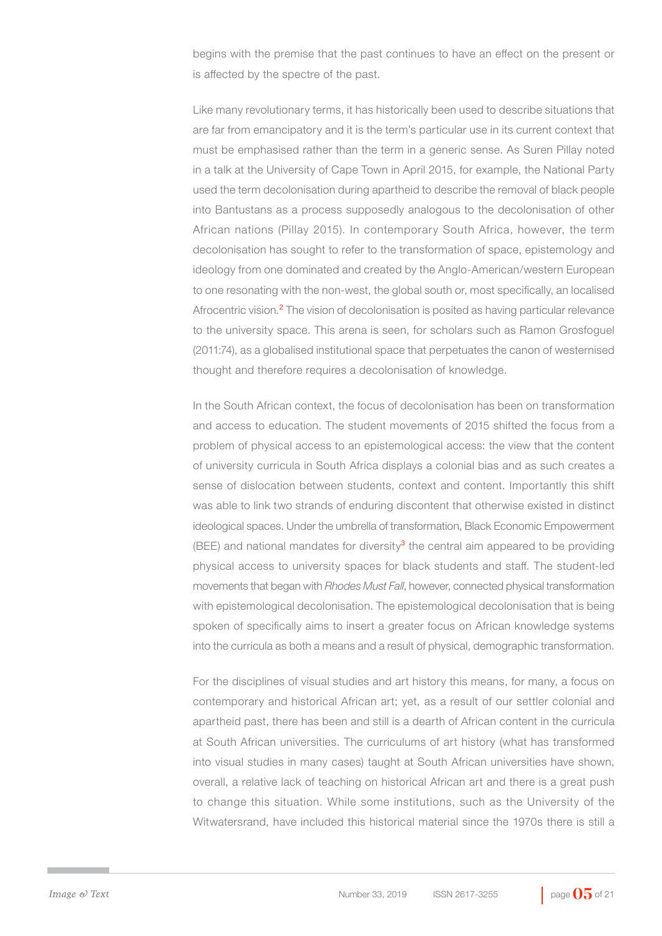begins with the premise that the past continues to have an effect on the present or is affected by the spectre of the past.

Like many revolutionary terms, it has historically been used to describe situations that are far from emancipatory and it is the term's particular use in its current context that must be emphasised rather than the term in a generic sense. As Suren Pillay noted in a talk at the University of Cape Town in April 2015, for example, the National Party used the term decolonisation during apartheid to describe the removal of black people into Bantustans as a process supposedly analogous to the decolonisation of other African nations (Pillay 2015). In contemporary South Africa, however, the term decolonisation has sought to refer to the transformation of space, epistemology and ideology from one dominated and created by the Anglo-American/western European to one resonating with the non-west, the global south or, most specifically, an localised Afrocentric vision.<sup>2</sup> The vision of decolonisation is posited as having particular relevance to the university space. This arena is seen, for scholars such as Ramon Grosfoguel (2011:74), as a globalised institutional space that perpetuates the canon of westernised thought and therefore requires a decolonisation of knowledge.

In the South African context, the focus of decolonisation has been on transformation and access to education. The student movements of 2015 shifted the focus from a problem of physical access to an epistemological access: the view that the content of university curricula in South Africa displays a colonial bias and as such creates a sense of dislocation between students, context and content. Importantly this shift was able to link two strands of enduring discontent that otherwise existed in distinct ideological spaces. Under the umbrella of transformation, Black Economic Empowerment (BEE) and national mandates for diversity<sup>3</sup> the central aim appeared to be providing physical access to university spaces for black students and staff. The student-led movements that began with *Rhodes Must Fall*, however, connected physical transformation with epistemological decolonisation. The epistemological decolonisation that is being spoken of specifically aims to insert a greater focus on African knowledge systems into the curricula as both a means and a result of physical, demographic transformation.

For the disciplines of visual studies and art history this means, for many, a focus on contemporary and historical African art; yet, as a result of our settler colonial and apartheid past, there has been and still is a dearth of African content in the curricula at South African universities. The curriculums of art history (what has transformed into visual studies in many cases) taught at South African universities have shown, overall, a relative lack of teaching on historical African art and there is a great push to change this situation. While some institutions, such as the University of the Witwatersrand, have included this historical material since the 1970s there is still a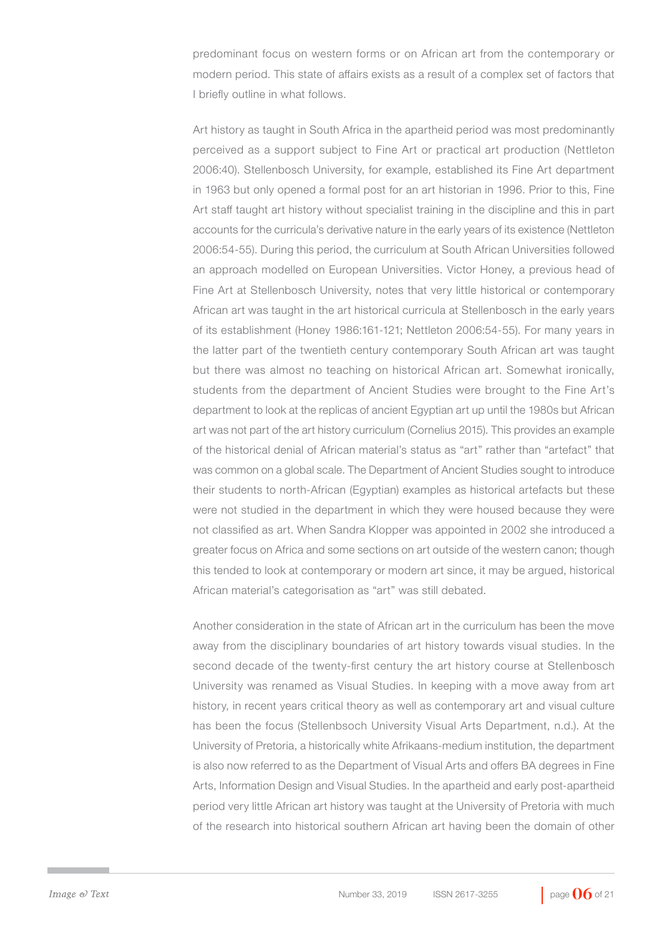predominant focus on western forms or on African art from the contemporary or modern period. This state of affairs exists as a result of a complex set of factors that I briefly outline in what follows.

Art history as taught in South Africa in the apartheid period was most predominantly perceived as a support subject to Fine Art or practical art production (Nettleton 2006:40). Stellenbosch University, for example, established its Fine Art department in 1963 but only opened a formal post for an art historian in 1996. Prior to this, Fine Art staff taught art history without specialist training in the discipline and this in part accounts for the curricula's derivative nature in the early years of its existence (Nettleton 2006:54-55). During this period, the curriculum at South African Universities followed an approach modelled on European Universities. Victor Honey, a previous head of Fine Art at Stellenbosch University, notes that very little historical or contemporary African art was taught in the art historical curricula at Stellenbosch in the early years of its establishment (Honey 1986:161-121; Nettleton 2006:54-55). For many years in the latter part of the twentieth century contemporary South African art was taught but there was almost no teaching on historical African art. Somewhat ironically, students from the department of Ancient Studies were brought to the Fine Art's department to look at the replicas of ancient Egyptian art up until the 1980s but African art was not part of the art history curriculum (Cornelius 2015). This provides an example of the historical denial of African material's status as "art" rather than "artefact" that was common on a global scale. The Department of Ancient Studies sought to introduce their students to north-African (Egyptian) examples as historical artefacts but these were not studied in the department in which they were housed because they were not classified as art. When Sandra Klopper was appointed in 2002 she introduced a greater focus on Africa and some sections on art outside of the western canon; though this tended to look at contemporary or modern art since, it may be argued, historical African material's categorisation as "art" was still debated.

Another consideration in the state of African art in the curriculum has been the move away from the disciplinary boundaries of art history towards visual studies. In the second decade of the twenty-first century the art history course at Stellenbosch University was renamed as Visual Studies. In keeping with a move away from art history, in recent years critical theory as well as contemporary art and visual culture has been the focus (Stellenbsoch University Visual Arts Department, n.d.). At the University of Pretoria, a historically white Afrikaans-medium institution, the department is also now referred to as the Department of Visual Arts and offers BA degrees in Fine Arts, Information Design and Visual Studies. In the apartheid and early post-apartheid period very little African art history was taught at the University of Pretoria with much of the research into historical southern African art having been the domain of other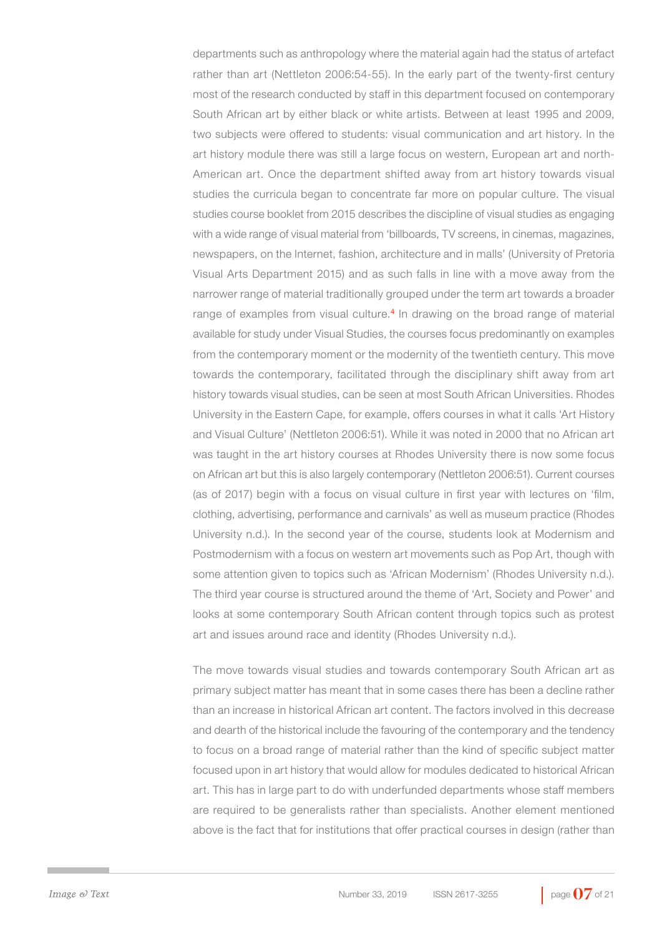departments such as anthropology where the material again had the status of artefact rather than art (Nettleton 2006:54-55). In the early part of the twenty-first century most of the research conducted by staff in this department focused on contemporary South African art by either black or white artists. Between at least 1995 and 2009, two subjects were offered to students: visual communication and art history. In the art history module there was still a large focus on western, European art and north-American art. Once the department shifted away from art history towards visual studies the curricula began to concentrate far more on popular culture. The visual studies course booklet from 2015 describes the discipline of visual studies as engaging with a wide range of visual material from 'billboards, TV screens, in cinemas, magazines, newspapers, on the Internet, fashion, architecture and in malls' (University of Pretoria Visual Arts Department 2015) and as such falls in line with a move away from the narrower range of material traditionally grouped under the term art towards a broader range of examples from visual culture.<sup>4</sup> In drawing on the broad range of material available for study under Visual Studies, the courses focus predominantly on examples from the contemporary moment or the modernity of the twentieth century. This move towards the contemporary, facilitated through the disciplinary shift away from art history towards visual studies, can be seen at most South African Universities. Rhodes University in the Eastern Cape, for example, offers courses in what it calls 'Art History and Visual Culture' (Nettleton 2006:51). While it was noted in 2000 that no African art was taught in the art history courses at Rhodes University there is now some focus on African art but this is also largely contemporary (Nettleton 2006:51). Current courses (as of 2017) begin with a focus on visual culture in first year with lectures on 'film, clothing, advertising, performance and carnivals' as well as museum practice (Rhodes University n.d.). In the second year of the course, students look at Modernism and Postmodernism with a focus on western art movements such as Pop Art, though with some attention given to topics such as 'African Modernism' (Rhodes University n.d.). The third year course is structured around the theme of 'Art, Society and Power' and looks at some contemporary South African content through topics such as protest art and issues around race and identity (Rhodes University n.d.).

The move towards visual studies and towards contemporary South African art as primary subject matter has meant that in some cases there has been a decline rather than an increase in historical African art content. The factors involved in this decrease and dearth of the historical include the favouring of the contemporary and the tendency to focus on a broad range of material rather than the kind of specific subject matter focused upon in art history that would allow for modules dedicated to historical African art. This has in large part to do with underfunded departments whose staff members are required to be generalists rather than specialists. Another element mentioned above is the fact that for institutions that offer practical courses in design (rather than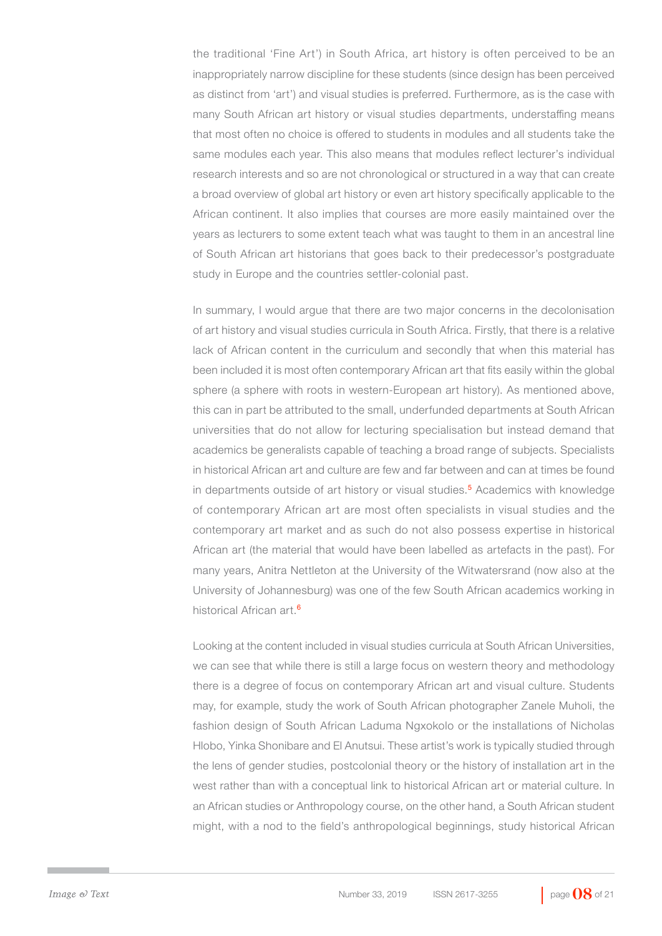the traditional 'Fine Art') in South Africa, art history is often perceived to be an inappropriately narrow discipline for these students (since design has been perceived as distinct from 'art') and visual studies is preferred. Furthermore, as is the case with many South African art history or visual studies departments, understaffing means that most often no choice is offered to students in modules and all students take the same modules each year. This also means that modules reflect lecturer's individual research interests and so are not chronological or structured in a way that can create a broad overview of global art history or even art history specifically applicable to the African continent. It also implies that courses are more easily maintained over the years as lecturers to some extent teach what was taught to them in an ancestral line of South African art historians that goes back to their predecessor's postgraduate study in Europe and the countries settler-colonial past.

In summary, I would argue that there are two major concerns in the decolonisation of art history and visual studies curricula in South Africa. Firstly, that there is a relative lack of African content in the curriculum and secondly that when this material has been included it is most often contemporary African art that fits easily within the global sphere (a sphere with roots in western-European art history). As mentioned above, this can in part be attributed to the small, underfunded departments at South African universities that do not allow for lecturing specialisation but instead demand that academics be generalists capable of teaching a broad range of subjects. Specialists in historical African art and culture are few and far between and can at times be found in departments outside of art history or visual studies.<sup>5</sup> Academics with knowledge of contemporary African art are most often specialists in visual studies and the contemporary art market and as such do not also possess expertise in historical African art (the material that would have been labelled as artefacts in the past). For many years, Anitra Nettleton at the University of the Witwatersrand (now also at the University of Johannesburg) was one of the few South African academics working in historical African art.<sup>6</sup>

Looking at the content included in visual studies curricula at South African Universities, we can see that while there is still a large focus on western theory and methodology there is a degree of focus on contemporary African art and visual culture. Students may, for example, study the work of South African photographer Zanele Muholi, the fashion design of South African Laduma Ngxokolo or the installations of Nicholas Hlobo, Yinka Shonibare and El Anutsui. These artist's work is typically studied through the lens of gender studies, postcolonial theory or the history of installation art in the west rather than with a conceptual link to historical African art or material culture. In an African studies or Anthropology course, on the other hand, a South African student might, with a nod to the field's anthropological beginnings, study historical African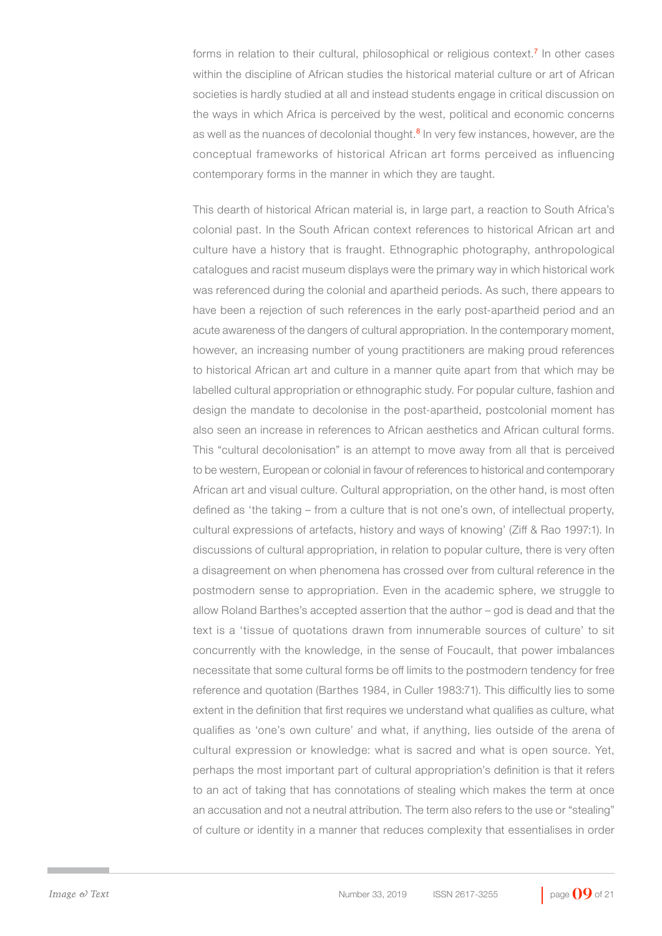forms in relation to their cultural, philosophical or religious context.<sup>7</sup> In other cases within the discipline of African studies the historical material culture or art of African societies is hardly studied at all and instead students engage in critical discussion on the ways in which Africa is perceived by the west, political and economic concerns as well as the nuances of decolonial thought.<sup>8</sup> In very few instances, however, are the conceptual frameworks of historical African art forms perceived as influencing contemporary forms in the manner in which they are taught.

This dearth of historical African material is, in large part, a reaction to South Africa's colonial past. In the South African context references to historical African art and culture have a history that is fraught. Ethnographic photography, anthropological catalogues and racist museum displays were the primary way in which historical work was referenced during the colonial and apartheid periods. As such, there appears to have been a rejection of such references in the early post-apartheid period and an acute awareness of the dangers of cultural appropriation. In the contemporary moment, however, an increasing number of young practitioners are making proud references to historical African art and culture in a manner quite apart from that which may be labelled cultural appropriation or ethnographic study. For popular culture, fashion and design the mandate to decolonise in the post-apartheid, postcolonial moment has also seen an increase in references to African aesthetics and African cultural forms. This "cultural decolonisation" is an attempt to move away from all that is perceived to be western, European or colonial in favour of references to historical and contemporary African art and visual culture. Cultural appropriation, on the other hand, is most often defined as 'the taking – from a culture that is not one's own, of intellectual property, cultural expressions of artefacts, history and ways of knowing' (Ziff & Rao 1997:1). In discussions of cultural appropriation, in relation to popular culture, there is very often a disagreement on when phenomena has crossed over from cultural reference in the postmodern sense to appropriation. Even in the academic sphere, we struggle to allow Roland Barthes's accepted assertion that the author – god is dead and that the text is a 'tissue of quotations drawn from innumerable sources of culture' to sit concurrently with the knowledge, in the sense of Foucault, that power imbalances necessitate that some cultural forms be off limits to the postmodern tendency for free reference and quotation (Barthes 1984, in Culler 1983:71). This difficultly lies to some extent in the definition that first requires we understand what qualifies as culture, what qualifies as 'one's own culture' and what, if anything, lies outside of the arena of cultural expression or knowledge: what is sacred and what is open source. Yet, perhaps the most important part of cultural appropriation's definition is that it refers to an act of taking that has connotations of stealing which makes the term at once an accusation and not a neutral attribution. The term also refers to the use or "stealing" of culture or identity in a manner that reduces complexity that essentialises in order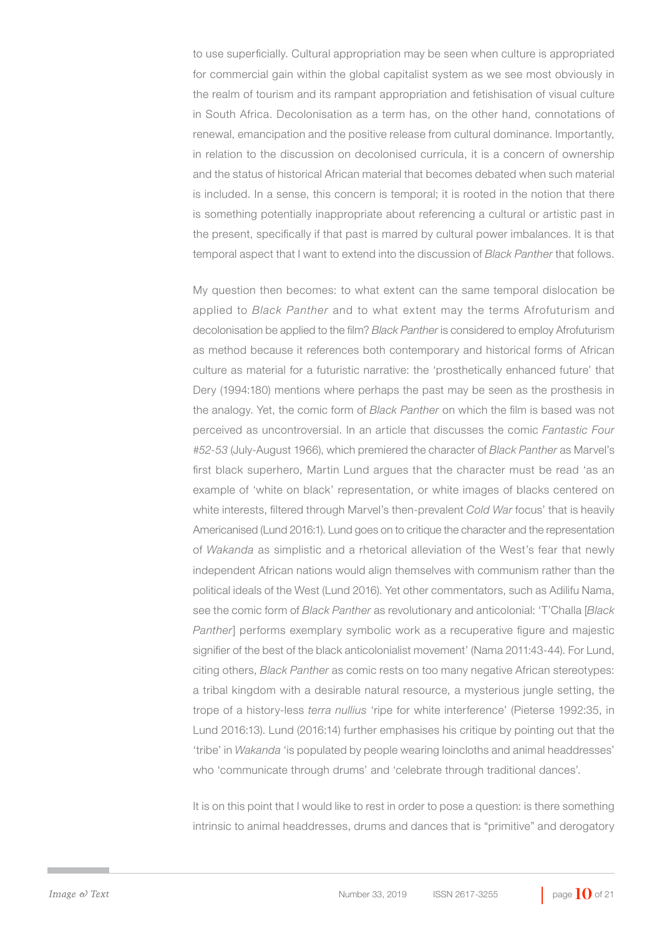to use superficially. Cultural appropriation may be seen when culture is appropriated for commercial gain within the global capitalist system as we see most obviously in the realm of tourism and its rampant appropriation and fetishisation of visual culture in South Africa. Decolonisation as a term has, on the other hand, connotations of renewal, emancipation and the positive release from cultural dominance. Importantly, in relation to the discussion on decolonised curricula, it is a concern of ownership and the status of historical African material that becomes debated when such material is included. In a sense, this concern is temporal; it is rooted in the notion that there is something potentially inappropriate about referencing a cultural or artistic past in the present, specifically if that past is marred by cultural power imbalances. It is that temporal aspect that I want to extend into the discussion of *Black Panther* that follows.

My question then becomes: to what extent can the same temporal dislocation be applied to *Black Panther* and to what extent may the terms Afrofuturism and decolonisation be applied to the film? *Black Panther* is considered to employ Afrofuturism as method because it references both contemporary and historical forms of African culture as material for a futuristic narrative: the 'prosthetically enhanced future' that Dery (1994:180) mentions where perhaps the past may be seen as the prosthesis in the analogy. Yet, the comic form of *Black Panther* on which the film is based was not perceived as uncontroversial. In an article that discusses the comic *Fantastic Four #52-53* (July-August 1966), which premiered the character of *Black Panther* as Marvel's first black superhero, Martin Lund argues that the character must be read 'as an example of 'white on black' representation, or white images of blacks centered on white interests, filtered through Marvel's then-prevalent *Cold War* focus' that is heavily Americanised (Lund 2016:1). Lund goes on to critique the character and the representation of *Wakanda* as simplistic and a rhetorical alleviation of the West's fear that newly independent African nations would align themselves with communism rather than the political ideals of the West (Lund 2016). Yet other commentators, such as Adilifu Nama, see the comic form of *Black Panther* as revolutionary and anticolonial: 'T'Challa [*Black Panther*] performs exemplary symbolic work as a recuperative figure and majestic signifier of the best of the black anticolonialist movement' (Nama 2011:43-44). For Lund, citing others, *Black Panther* as comic rests on too many negative African stereotypes: a tribal kingdom with a desirable natural resource, a mysterious jungle setting, the trope of a history-less *terra nullius* 'ripe for white interference' (Pieterse 1992:35, in Lund 2016:13). Lund (2016:14) further emphasises his critique by pointing out that the 'tribe' in *Wakanda* 'is populated by people wearing loincloths and animal headdresses' who 'communicate through drums' and 'celebrate through traditional dances'.

It is on this point that I would like to rest in order to pose a question: is there something intrinsic to animal headdresses, drums and dances that is "primitive" and derogatory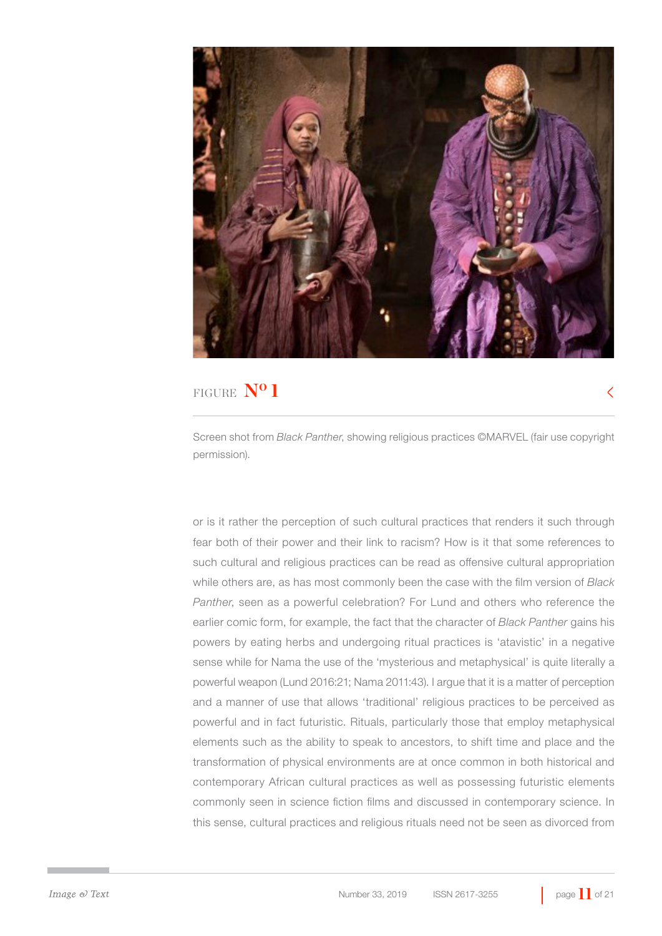

 $\rm <$ 

Screen shot from *Black Panther*, showing religious practices ©MARVEL (fair use copyright permission).

or is it rather the perception of such cultural practices that renders it such through fear both of their power and their link to racism? How is it that some references to such cultural and religious practices can be read as offensive cultural appropriation while others are, as has most commonly been the case with the film version of *Black Panther*, seen as a powerful celebration? For Lund and others who reference the earlier comic form, for example, the fact that the character of *Black Panther* gains his powers by eating herbs and undergoing ritual practices is 'atavistic' in a negative sense while for Nama the use of the 'mysterious and metaphysical' is quite literally a powerful weapon (Lund 2016:21; Nama 2011:43). I argue that it is a matter of perception and a manner of use that allows 'traditional' religious practices to be perceived as powerful and in fact futuristic. Rituals, particularly those that employ metaphysical elements such as the ability to speak to ancestors, to shift time and place and the transformation of physical environments are at once common in both historical and contemporary African cultural practices as well as possessing futuristic elements commonly seen in science fiction films and discussed in contemporary science. In this sense, cultural practices and religious rituals need not be seen as divorced from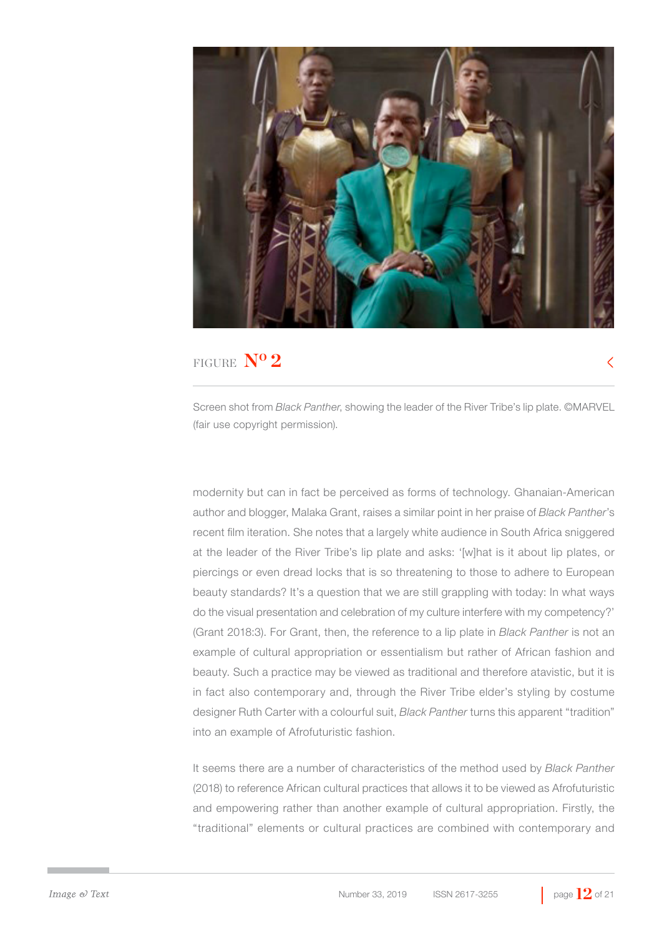

 $\overline{\left\langle \right\rangle }$ 

Screen shot from *Black Panther*, showing the leader of the River Tribe's lip plate. ©MARVEL (fair use copyright permission).

modernity but can in fact be perceived as forms of technology. Ghanaian-American author and blogger, Malaka Grant, raises a similar point in her praise of *Black Panther*'s recent film iteration. She notes that a largely white audience in South Africa sniggered at the leader of the River Tribe's lip plate and asks: '[w]hat is it about lip plates, or piercings or even dread locks that is so threatening to those to adhere to European beauty standards? It's a question that we are still grappling with today: In what ways do the visual presentation and celebration of my culture interfere with my competency?' (Grant 2018:3). For Grant, then, the reference to a lip plate in *Black Panther* is not an example of cultural appropriation or essentialism but rather of African fashion and beauty. Such a practice may be viewed as traditional and therefore atavistic, but it is in fact also contemporary and, through the River Tribe elder's styling by costume designer Ruth Carter with a colourful suit, *Black Panther* turns this apparent "tradition" into an example of Afrofuturistic fashion.

It seems there are a number of characteristics of the method used by *Black Panther*  (2018) to reference African cultural practices that allows it to be viewed as Afrofuturistic and empowering rather than another example of cultural appropriation. Firstly, the "traditional" elements or cultural practices are combined with contemporary and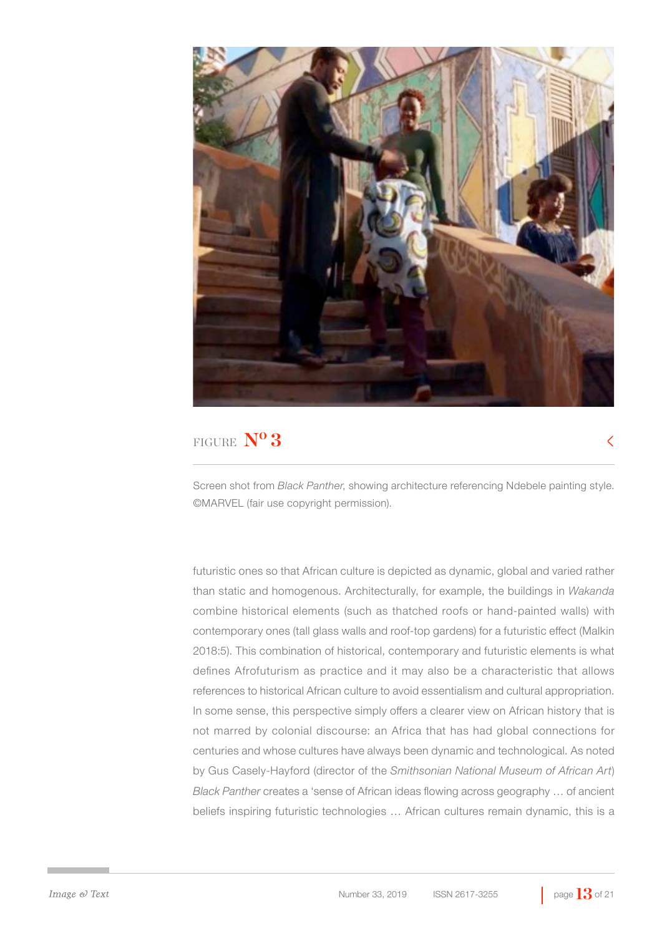

Screen shot from *Black Panther*, showing architecture referencing Ndebele painting style. ©MARVEL (fair use copyright permission).

futuristic ones so that African culture is depicted as dynamic, global and varied rather than static and homogenous. Architecturally, for example, the buildings in *Wakanda* combine historical elements (such as thatched roofs or hand-painted walls) with contemporary ones (tall glass walls and roof-top gardens) for a futuristic effect (Malkin 2018:5). This combination of historical, contemporary and futuristic elements is what defines Afrofuturism as practice and it may also be a characteristic that allows references to historical African culture to avoid essentialism and cultural appropriation. In some sense, this perspective simply offers a clearer view on African history that is not marred by colonial discourse: an Africa that has had global connections for centuries and whose cultures have always been dynamic and technological. As noted by Gus Casely-Hayford (director of the *Smithsonian National Museum of African Art*) *Black Panther* creates a 'sense of African ideas flowing across geography … of ancient beliefs inspiring futuristic technologies … African cultures remain dynamic, this is a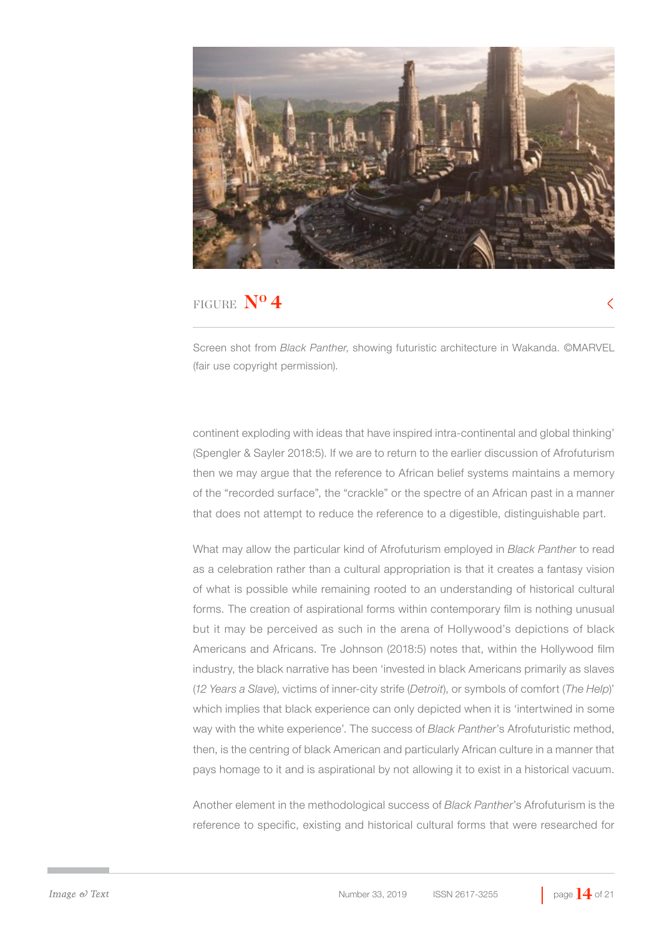

Screen shot from *Black Panther*, showing futuristic architecture in Wakanda. ©MARVEL (fair use copyright permission).

continent exploding with ideas that have inspired intra-continental and global thinking' (Spengler & Sayler 2018:5). If we are to return to the earlier discussion of Afrofuturism then we may argue that the reference to African belief systems maintains a memory of the "recorded surface", the "crackle" or the spectre of an African past in a manner that does not attempt to reduce the reference to a digestible, distinguishable part.

What may allow the particular kind of Afrofuturism employed in *Black Panther* to read as a celebration rather than a cultural appropriation is that it creates a fantasy vision of what is possible while remaining rooted to an understanding of historical cultural forms. The creation of aspirational forms within contemporary film is nothing unusual but it may be perceived as such in the arena of Hollywood's depictions of black Americans and Africans. Tre Johnson (2018:5) notes that, within the Hollywood film industry, the black narrative has been 'invested in black Americans primarily as slaves (*12 Years a Slave*), victims of inner-city strife (*Detroit*), or symbols of comfort (*The Help*)' which implies that black experience can only depicted when it is 'intertwined in some way with the white experience'. The success of *Black Panther*'s Afrofuturistic method, then, is the centring of black American and particularly African culture in a manner that pays homage to it and is aspirational by not allowing it to exist in a historical vacuum.

Another element in the methodological success of *Black Panther*'s Afrofuturism is the reference to specific, existing and historical cultural forms that were researched for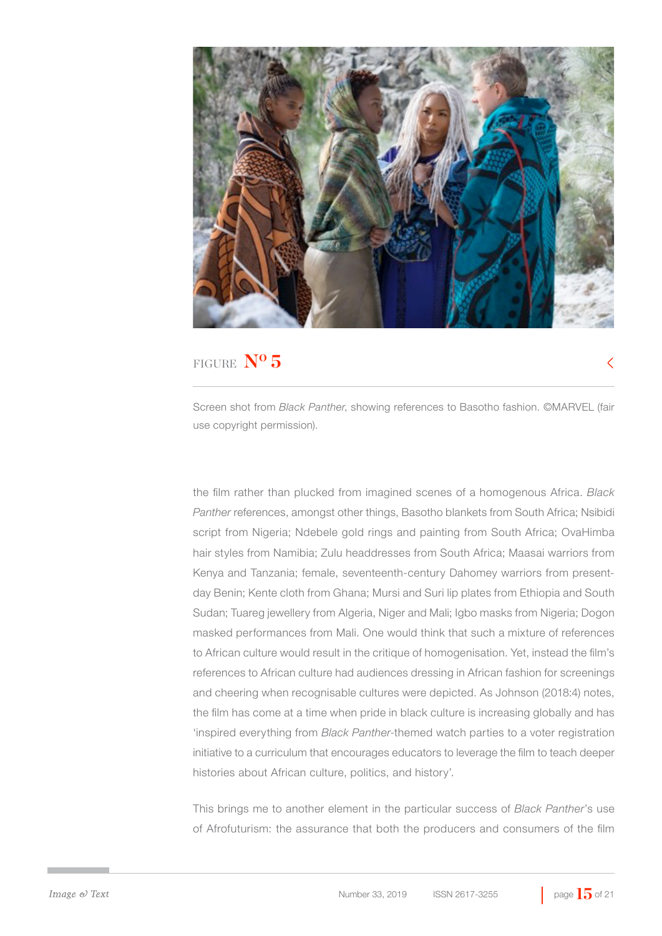

Screen shot from *Black Panther*, showing references to Basotho fashion. ©MARVEL (fair use copyright permission).

the film rather than plucked from imagined scenes of a homogenous Africa. *Black Panther* references, amongst other things, Basotho blankets from South Africa; Nsibidi script from Nigeria; Ndebele gold rings and painting from South Africa; OvaHimba hair styles from Namibia; Zulu headdresses from South Africa; Maasai warriors from Kenya and Tanzania; female, seventeenth-century Dahomey warriors from presentday Benin; Kente cloth from Ghana; Mursi and Suri lip plates from Ethiopia and South Sudan; Tuareg jewellery from Algeria, Niger and Mali; Igbo masks from Nigeria; Dogon masked performances from Mali. One would think that such a mixture of references to African culture would result in the critique of homogenisation. Yet, instead the film's references to African culture had audiences dressing in African fashion for screenings and cheering when recognisable cultures were depicted. As Johnson (2018:4) notes, the film has come at a time when pride in black culture is increasing globally and has 'inspired everything from *Black Panther*-themed watch parties to a voter registration initiative to a curriculum that encourages educators to leverage the film to teach deeper histories about African culture, politics, and history'.

This brings me to another element in the particular success of *Black Panther*'s use of Afrofuturism: the assurance that both the producers and consumers of the film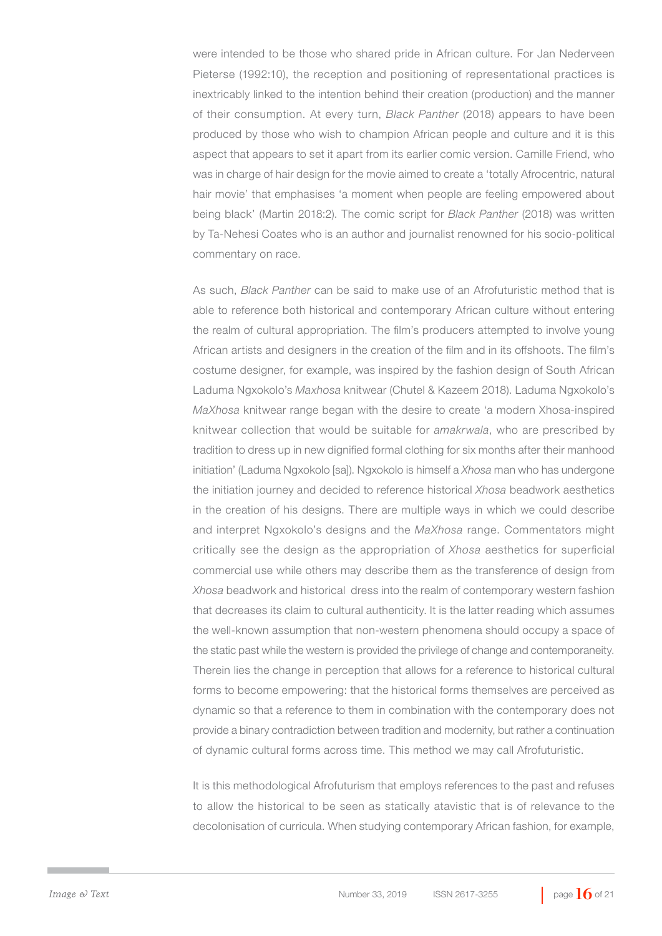were intended to be those who shared pride in African culture. For Jan Nederveen Pieterse (1992:10), the reception and positioning of representational practices is inextricably linked to the intention behind their creation (production) and the manner of their consumption. At every turn, *Black Panther* (2018) appears to have been produced by those who wish to champion African people and culture and it is this aspect that appears to set it apart from its earlier comic version. Camille Friend, who was in charge of hair design for the movie aimed to create a 'totally Afrocentric, natural hair movie' that emphasises 'a moment when people are feeling empowered about being black' (Martin 2018:2). The comic script for *Black Panther* (2018) was written by Ta-Nehesi Coates who is an author and journalist renowned for his socio-political commentary on race.

As such, *Black Panther* can be said to make use of an Afrofuturistic method that is able to reference both historical and contemporary African culture without entering the realm of cultural appropriation. The film's producers attempted to involve young African artists and designers in the creation of the film and in its offshoots. The film's costume designer, for example, was inspired by the fashion design of South African Laduma Ngxokolo's *Maxhosa* knitwear (Chutel & Kazeem 2018). Laduma Ngxokolo's *MaXhosa* knitwear range began with the desire to create 'a modern Xhosa-inspired knitwear collection that would be suitable for *amakrwala*, who are prescribed by tradition to dress up in new dignified formal clothing for six months after their manhood initiation' (Laduma Ngxokolo [sa]). Ngxokolo is himself a *Xhosa* man who has undergone the initiation journey and decided to reference historical *Xhosa* beadwork aesthetics in the creation of his designs. There are multiple ways in which we could describe and interpret Ngxokolo's designs and the *MaXhosa* range. Commentators might critically see the design as the appropriation of *Xhosa* aesthetics for superficial commercial use while others may describe them as the transference of design from *Xhosa* beadwork and historical dress into the realm of contemporary western fashion that decreases its claim to cultural authenticity. It is the latter reading which assumes the well-known assumption that non-western phenomena should occupy a space of the static past while the western is provided the privilege of change and contemporaneity. Therein lies the change in perception that allows for a reference to historical cultural forms to become empowering: that the historical forms themselves are perceived as dynamic so that a reference to them in combination with the contemporary does not provide a binary contradiction between tradition and modernity, but rather a continuation of dynamic cultural forms across time. This method we may call Afrofuturistic.

It is this methodological Afrofuturism that employs references to the past and refuses to allow the historical to be seen as statically atavistic that is of relevance to the decolonisation of curricula. When studying contemporary African fashion, for example,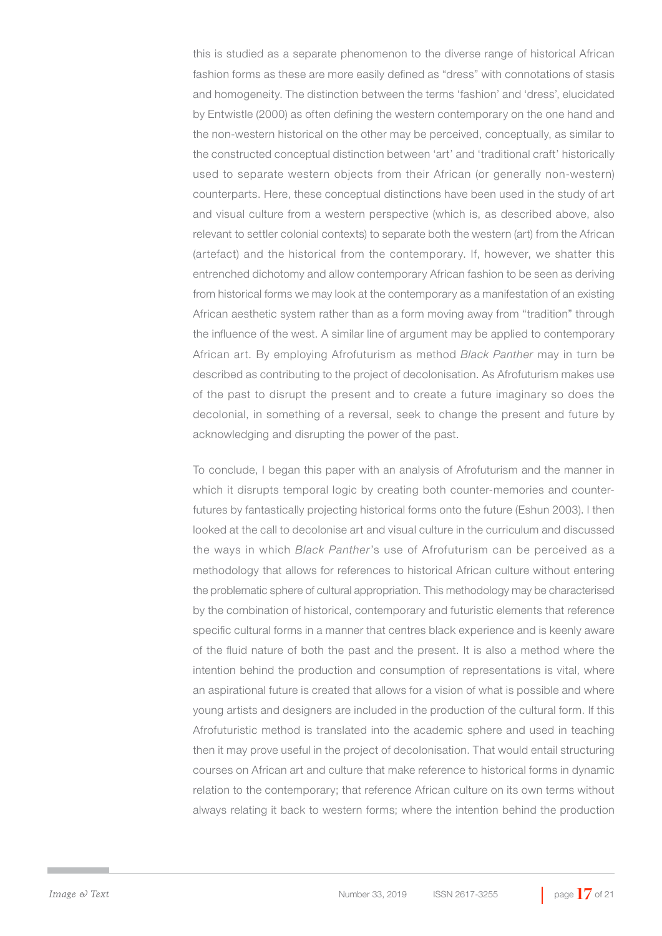this is studied as a separate phenomenon to the diverse range of historical African fashion forms as these are more easily defined as "dress" with connotations of stasis and homogeneity. The distinction between the terms 'fashion' and 'dress', elucidated by Entwistle (2000) as often defining the western contemporary on the one hand and the non-western historical on the other may be perceived, conceptually, as similar to the constructed conceptual distinction between 'art' and 'traditional craft' historically used to separate western objects from their African (or generally non-western) counterparts. Here, these conceptual distinctions have been used in the study of art and visual culture from a western perspective (which is, as described above, also relevant to settler colonial contexts) to separate both the western (art) from the African (artefact) and the historical from the contemporary. If, however, we shatter this entrenched dichotomy and allow contemporary African fashion to be seen as deriving from historical forms we may look at the contemporary as a manifestation of an existing African aesthetic system rather than as a form moving away from "tradition" through the influence of the west. A similar line of argument may be applied to contemporary African art. By employing Afrofuturism as method *Black Panther* may in turn be described as contributing to the project of decolonisation. As Afrofuturism makes use of the past to disrupt the present and to create a future imaginary so does the decolonial, in something of a reversal, seek to change the present and future by acknowledging and disrupting the power of the past.

To conclude, I began this paper with an analysis of Afrofuturism and the manner in which it disrupts temporal logic by creating both counter-memories and counterfutures by fantastically projecting historical forms onto the future (Eshun 2003). I then looked at the call to decolonise art and visual culture in the curriculum and discussed the ways in which *Black Panther*'s use of Afrofuturism can be perceived as a methodology that allows for references to historical African culture without entering the problematic sphere of cultural appropriation. This methodology may be characterised by the combination of historical, contemporary and futuristic elements that reference specific cultural forms in a manner that centres black experience and is keenly aware of the fluid nature of both the past and the present. It is also a method where the intention behind the production and consumption of representations is vital, where an aspirational future is created that allows for a vision of what is possible and where young artists and designers are included in the production of the cultural form. If this Afrofuturistic method is translated into the academic sphere and used in teaching then it may prove useful in the project of decolonisation. That would entail structuring courses on African art and culture that make reference to historical forms in dynamic relation to the contemporary; that reference African culture on its own terms without always relating it back to western forms; where the intention behind the production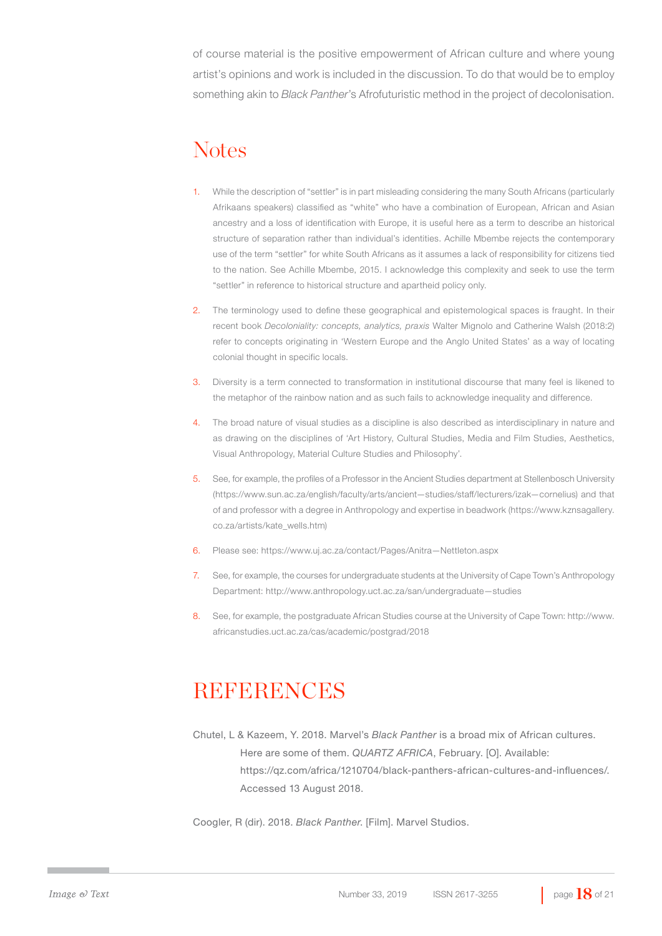of course material is the positive empowerment of African culture and where young artist's opinions and work is included in the discussion. To do that would be to employ something akin to *Black Panther*'s Afrofuturistic method in the project of decolonisation.

### **Notes**

- 1. While the description of "settler" is in part misleading considering the many South Africans (particularly Afrikaans speakers) classified as "white" who have a combination of European, African and Asian ancestry and a loss of identification with Europe, it is useful here as a term to describe an historical structure of separation rather than individual's identities. Achille Mbembe rejects the contemporary use of the term "settler" for white South Africans as it assumes a lack of responsibility for citizens tied to the nation. See Achille Mbembe, 2015. I acknowledge this complexity and seek to use the term "settler" in reference to historical structure and apartheid policy only.
- 2. The terminology used to define these geographical and epistemological spaces is fraught. In their recent book *Decoloniality: concepts, analytics, praxis* Walter Mignolo and Catherine Walsh (2018:2) refer to concepts originating in 'Western Europe and the Anglo United States' as a way of locating colonial thought in specific locals.
- 3. Diversity is a term connected to transformation in institutional discourse that many feel is likened to the metaphor of the rainbow nation and as such fails to acknowledge inequality and difference.
- 4. The broad nature of visual studies as a discipline is also described as interdisciplinary in nature and as drawing on the disciplines of 'Art History, Cultural Studies, Media and Film Studies, Aesthetics, Visual Anthropology, Material Culture Studies and Philosophy'.
- 5. See, for example, the profiles of a Professor in the Ancient Studies department at Stellenbosch University (https://www.sun.ac.za/english/faculty/arts/ancient—studies/staff/lecturers/izak—cornelius) and that of and professor with a degree in Anthropology and expertise in beadwork (https://www.kznsagallery. co.za/artists/kate\_wells.htm)
- 6. Please see: https://www.uj.ac.za/contact/Pages/Anitra—Nettleton.aspx
- 7. See, for example, the courses for undergraduate students at the University of Cape Town's Anthropology Department: http://www.anthropology.uct.ac.za/san/undergraduate—studies
- 8. See, for example, the postgraduate African Studies course at the University of Cape Town: http://www. africanstudies.uct.ac.za/cas/academic/postgrad/2018

## REFERENCES

Chutel, L & Kazeem, Y. 2018. Marvel's *Black Panther* is a broad mix of African cultures. Here are some of them. *QUARTZ AFRICA*, February. [O]. Available: https://qz.com/africa/1210704/black-panthers-african-cultures-and-influences/. Accessed 13 August 2018.

Coogler, R (dir). 2018. *Black Panther*. [Film]. Marvel Studios.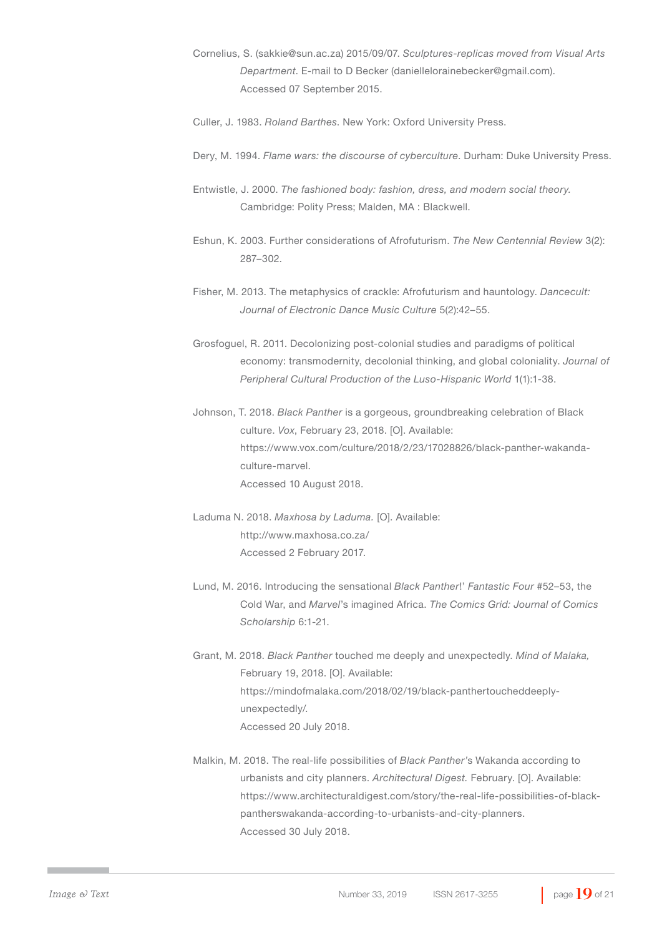- Cornelius, S. (sakkie@sun.ac.za) 2015/09/07. *Sculptures-replicas moved from Visual Arts Department*. E-mail to D Becker (daniellelorainebecker@gmail.com). Accessed 07 September 2015.
- Culler, J. 1983. *Roland Barthes*. New York: Oxford University Press.
- Dery, M. 1994. *Flame wars: the discourse of cyberculture*. Durham: Duke University Press.
- Entwistle, J. 2000. *The fashioned body: fashion, dress, and modern social theory.*  Cambridge: Polity Press; Malden, MA : Blackwell.
- Eshun, K. 2003. Further considerations of Afrofuturism. *The New Centennial Review* 3(2): 287–302.
- Fisher, M. 2013. The metaphysics of crackle: Afrofuturism and hauntology. *Dancecult: Journal of Electronic Dance Music Culture* 5(2):42–55.
- Grosfoguel, R. 2011. Decolonizing post-colonial studies and paradigms of political economy: transmodernity, decolonial thinking, and global coloniality. *Journal of Peripheral Cultural Production of the Luso-Hispanic World* 1(1):1-38.
- Johnson, T. 2018. *Black Panther* is a gorgeous, groundbreaking celebration of Black culture. *Vox*, February 23, 2018. [O]. Available: https://www.vox.com/culture/2018/2/23/17028826/black-panther-wakandaculture-marvel. Accessed 10 August 2018.
- Laduma N. 2018. *Maxhosa by Laduma.* [O]. Available: http://www.maxhosa.co.za/ Accessed 2 February 2017.
- Lund, M. 2016. Introducing the sensational *Black Panther*!' *Fantastic Four* #52–53, the Cold War, and *Marvel*'s imagined Africa. *The Comics Grid: Journal of Comics Scholarship* 6:1-21.
- Grant, M. 2018. *Black Panther* touched me deeply and unexpectedly. *Mind of Malaka,*  February 19, 2018. [O]. Available: https://mindofmalaka.com/2018/02/19/black-panthertoucheddeeplyunexpectedly/. Accessed 20 July 2018.
- Malkin, M. 2018. The real-life possibilities of *Black Panther'*s Wakanda according to urbanists and city planners. *Architectural Digest.* February. [O]. Available: https://www.architecturaldigest.com/story/the-real-life-possibilities-of-blackpantherswakanda-according-to-urbanists-and-city-planners. Accessed 30 July 2018.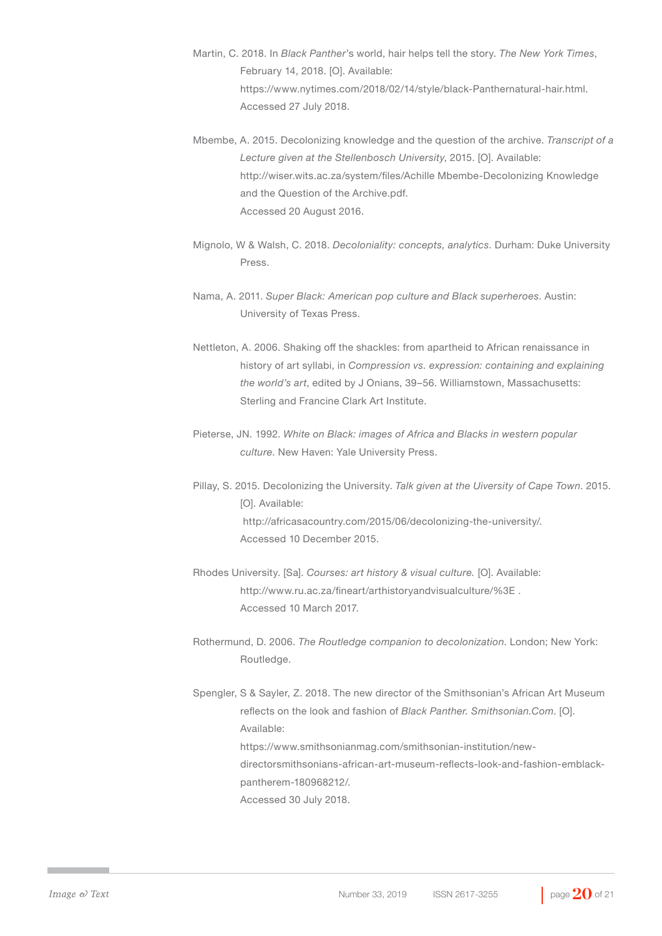- Martin, C. 2018. In *Black Panther*'s world, hair helps tell the story. *The New York Times*, February 14, 2018. [O]. Available: https://www.nytimes.com/2018/02/14/style/black-Panthernatural-hair.html. Accessed 27 July 2018.
- Mbembe, A. 2015. Decolonizing knowledge and the question of the archive. *Transcript of a Lecture given at the Stellenbosch University*, 2015. [O]. Available: http://wiser.wits.ac.za/system/files/Achille Mbembe-Decolonizing Knowledge and the Question of the Archive.pdf. Accessed 20 August 2016.
- Mignolo, W & Walsh, C. 2018. *Decoloniality: concepts, analytics*. Durham: Duke University Press.
- Nama, A. 2011. *Super Black: American pop culture and Black superheroes*. Austin: University of Texas Press.
- Nettleton, A. 2006. Shaking off the shackles: from apartheid to African renaissance in history of art syllabi, in *Compression vs. expression: containing and explaining the world's art*, edited by J Onians, 39–56. Williamstown, Massachusetts: Sterling and Francine Clark Art Institute.
- Pieterse, JN. 1992. *White on Black: images of Africa and Blacks in western popular culture*. New Haven: Yale University Press.
- Pillay, S. 2015. Decolonizing the University. *Talk given at the Uiversity of Cape Town*. 2015. [O]. Available: http://africasacountry.com/2015/06/decolonizing-the-university/. Accessed 10 December 2015.
- Rhodes University. [Sa]. *Courses: art history & visual culture.* [O]. Available: http://www.ru.ac.za/fineart/arthistoryandvisualculture/%3E . Accessed 10 March 2017.
- Rothermund, D. 2006. *The Routledge companion to decolonization*. London; New York: Routledge.
- Spengler, S & Sayler, Z. 2018. The new director of the Smithsonian's African Art Museum reflects on the look and fashion of *Black Panther. Smithsonian.Com*. [O]. Available: https://www.smithsonianmag.com/smithsonian-institution/newdirectorsmithsonians-african-art-museum-reflects-look-and-fashion-emblackpantherem-180968212/. Accessed 30 July 2018.